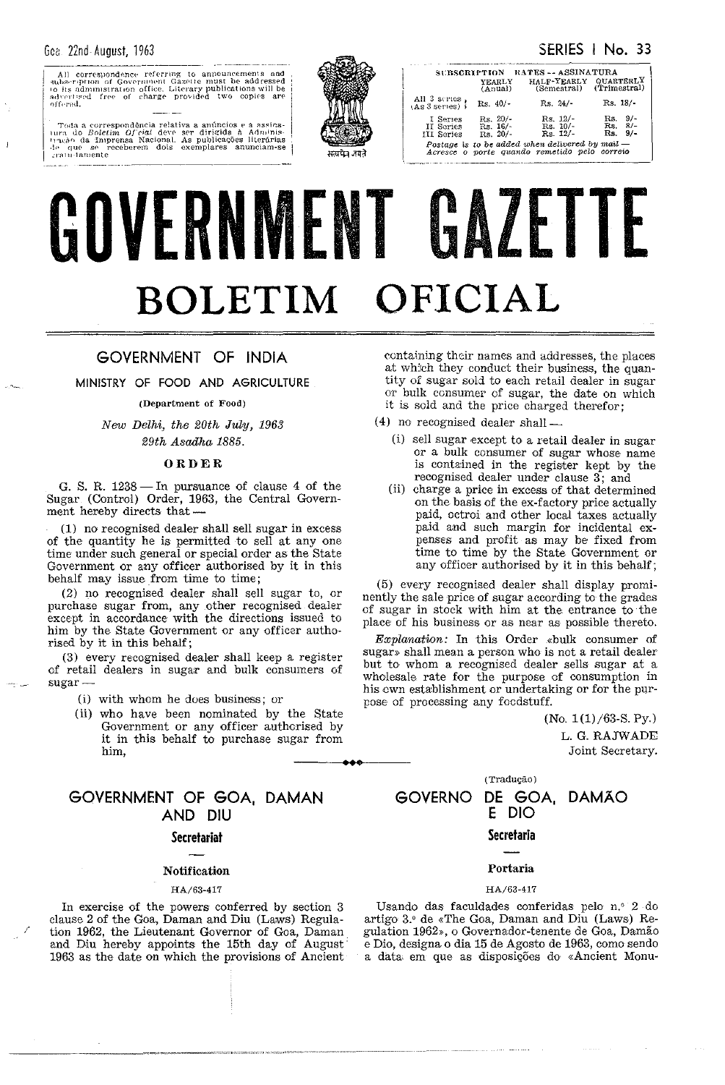$\mathbf{I}$ 

All correspondence referring to announcements and<br>subservation of Government Gazette must be addressed<br>to its administration office. Literary publications will be<br>advertised free of charge provided two copies are offered.

Toda a correspondência relativa a anúncios e á assina-<br>ura do *Boletim Oficial* deve ser dirigida à Adminis-<br>urão da Imprensa Nacional, As publicações literárias<br>- que se receberem dois exemplares anunciam-se **THE** .....<br>Facão ur que ar i<br>∽ratu∃amente



| SUBSCRIPTION                        |                                            | <b>RATES -- ASSINATURA</b>                                                                        |                                           |
|-------------------------------------|--------------------------------------------|---------------------------------------------------------------------------------------------------|-------------------------------------------|
|                                     | YEARLY<br>(Anual)                          | HALF-YEARLY<br>(Semestral) (Trimestral)                                                           | <b>QUARTERLY</b>                          |
| All 3 scries,<br>(As 3 series)      | $Rs. 40/-$                                 | $Rs. 24/-$                                                                                        | $Rs. 18/$ -                               |
| I Series<br>II Series<br>III Series | $\text{Rs.}$ 20/-<br>Rs. 16/<br>$Rs. 20/-$ | $Rs. 12/-$<br>$Rs. 10/-$<br>$Rs. 12/-$                                                            | $9/-$<br>Rs.<br>$Rs. 8/-$<br>$9/-$<br>Rs. |
|                                     |                                            | Postage is to be added when delivered by mail $-$<br>Acresce o norte quando remetido pelo correio |                                           |

# GOVERNMENT GAZETTE BOLETIM OFICIAL

## GOVERNMENT OF INDIA

MINISTRY OF FOOD AND AGRICULTURE

(Department of Food)

New Delhi, the 20th July, 1963 29th Asadha 1885.

#### ORDER

G. S. R. 1238 - In pursuance of clause 4 of the Sugar (Control) Order, 1963, the Central Government hereby directs that-

(1) no recognised dealer shall sell sugar in excess of the quantity he is permitted to sell at any one time under such general or special order as the State Government or any officer authorised by it in this behalf may issue from time to time;

(2) no recognised dealer shall sell sugar to, or purchase sugar from, any other recognised dealer except in accordance with the directions issued to him by the State Government or any officer authorised by it in this behalf;

(3) every recognised dealer shall keep a register of retail dealers in sugar and bulk consumers of sugar-

- (i) with whom he does business; or
- (ii) who have been nominated by the State Government or any officer authorised by it in this behalf to purchase sugar from him.

## GOVERNMENT OF GOA, DAMAN AND DIU

#### **Secretariat**

#### Notification

#### HA/63-417

In exercise of the powers conferred by section 3 clause 2 of the Goa, Daman and Diu (Laws) Regulation 1962, the Lieutenant Governor of Goa, Daman<br>and Diu hereby appoints the 15th day of August 1963 as the date on which the provisions of Ancient

containing their names and addresses, the places at which they conduct their business, the quantity of sugar sold to each retail dealer in sugar or bulk consumer of sugar, the date on which it is sold and the price charged therefor;

- $(4)$  no recognised dealer shall  $-$ 
	- (i) sell sugar except to a retail dealer in sugar or a bulk consumer of sugar whose name is contained in the register kept by the recognised dealer under clause 3; and
	- (ii) charge a price in excess of that determined on the basis of the ex-factory price actually paid, octroi and other local taxes actually paid and such margin for incidental expenses and profit as may be fixed from time to time by the State Government or any officer authorised by it in this behalf;

(5) every recognised dealer shall display prominently the sale price of sugar according to the grades of sugar in stock with him at the entrance to the place of his business or as near as possible thereto.

Explanation: In this Order «bulk consumer of sugar» shall mean a person who is not a retail dealer but to whom a recognised dealer sells sugar at a wholesale rate for the purpose of consumption in his cwn establishment or undertaking or for the purpose of processing any focdstuff.

> $(No. 1(1)/63-S. Py.)$ L. G. RAJWADE Joint Secretary.

(Tradução) DE GOA.

**GOVERNO** 

## **DAMAO** E DIO

## **Secretaria**

#### Portaria

#### HA/63-417

Usando das faculdades conferidas pelo n.º 2 do artigo 3.º de «The Goa, Daman and Diu (Laws) Regulation 1962», o Governador-tenente de Goa, Damão e Dio, designa o dia 15 de Agosto de 1963, como sendo a data em que as disposições do «Ancient Monu-

SERIES | No. 33